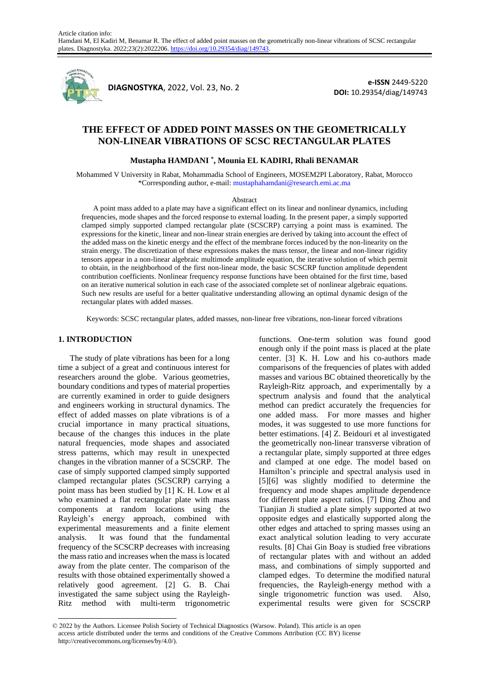

**DIAGNOSTYKA**, 2022, Vol. 23, No. 2

**e-ISSN** 2449-5220 **DOI:** 10.29354/diag/149743

# **THE EFFECT OF ADDED POINT MASSES ON THE GEOMETRICALLY NON-LINEAR VIBRATIONS OF SCSC RECTANGULAR PLATES**

## **Mustapha HAMDANI \* , Mounia EL KADIRI, Rhali BENAMAR**

Mohammed V University in Rabat, Mohammadia School of Engineers, MOSEM2PI Laboratory, Rabat, Morocco \*Corresponding author, e-mail: mustaphahamdani@research.emi.ac.ma

#### Abstract

A point mass added to a plate may have a significant effect on its linear and nonlinear dynamics, including frequencies, mode shapes and the forced response to external loading. In the present paper, a simply supported clamped simply supported clamped rectangular plate (SCSCRP) carrying a point mass is examined. The expressions for the kinetic, linear and non-linear strain energies are derived by taking into account the effect of the added mass on the kinetic energy and the effect of the membrane forces induced by the non-linearity on the strain energy. The discretization of these expressions makes the mass tensor, the linear and non-linear rigidity tensors appear in a non-linear algebraic multimode amplitude equation, the iterative solution of which permit to obtain, in the neighborhood of the first non-linear mode, the basic SCSCRP function amplitude dependent contribution coefficients. Nonlinear frequency response functions have been obtained for the first time, based on an iterative numerical solution in each case of the associated complete set of nonlinear algebraic equations. Such new results are useful for a better qualitative understanding allowing an optimal dynamic design of the rectangular plates with added masses.

Keywords: SCSC rectangular plates, added masses, non-linear free vibrations, non-linear forced vibrations

### **1. INTRODUCTION**

The study of plate vibrations has been for a long time a subject of a great and continuous interest for researchers around the globe. Various geometries, boundary conditions and types of material properties are currently examined in order to guide designers and engineers working in structural dynamics. The effect of added masses on plate vibrations is of a crucial importance in many practical situations, because of the changes this induces in the plate natural frequencies, mode shapes and associated stress patterns, which may result in unexpected changes in the vibration manner of a SCSCRP. The case of simply supported clamped simply supported clamped rectangular plates (SCSCRP) carrying a point mass has been studied by [1] K. H. Low et al who examined a flat rectangular plate with mass components at random locations using the Rayleigh's energy approach, combined with experimental measurements and a finite element analysis. It was found that the fundamental frequency of the SCSCRP decreases with increasing the mass ratio and increases when the mass is located away from the plate center. The comparison of the results with those obtained experimentally showed a relatively good agreement. [2] G. B. Chai investigated the same subject using the Rayleigh-Ritz method with multi-term trigonometric

functions. One-term solution was found good enough only if the point mass is placed at the plate center. [3] K. H. Low and his co-authors made comparisons of the frequencies of plates with added masses and various BC obtained theoretically by the Rayleigh-Ritz approach, and experimentally by a spectrum analysis and found that the analytical method can predict accurately the frequencies for one added mass. For more masses and higher modes, it was suggested to use more functions for better estimations. [4] Z. Beidouri et al investigated the geometrically non-linear transverse vibration of a rectangular plate, simply supported at three edges and clamped at one edge. The model based on Hamilton's principle and spectral analysis used in [5][6] was slightly modified to determine the frequency and mode shapes amplitude dependence for different plate aspect ratios. [7] Ding Zhou and Tianjian Ji studied a plate simply supported at two opposite edges and elastically supported along the other edges and attached to spring masses using an exact analytical solution leading to very accurate results. [8] Chai Gin Boay is studied free vibrations of rectangular plates with and without an added mass, and combinations of simply supported and clamped edges. To determine the modified natural frequencies, the Rayleigh-energy method with a single trigonometric function was used. Also, experimental results were given for SCSCRP

<sup>© 2022</sup> by the Authors. Licensee Polish Society of Technical Diagnostics (Warsow. Poland). This article is an open access article distributed under the terms and conditions of the Creative Commons Attribution (CC BY) license http://creativecommons.org/licenses/by/4.0/).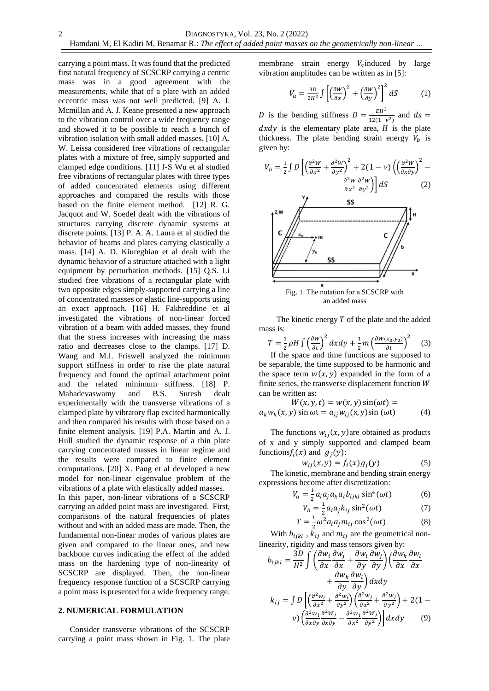carrying a point mass. It was found that the predicted first natural frequency of SCSCRP carrying a centric mass was in a good agreement with the measurements, while that of a plate with an added eccentric mass was not well predicted. [9] A. J. Mcmillan and A. J. Keane presented a new approach to the vibration control over a wide frequency range and showed it to be possible to reach a bunch of vibration isolation with small added masses. [10] A. W. Leissa considered free vibrations of rectangular plates with a mixture of free, simply supported and clamped edge conditions. [11] J-S Wu et al studied free vibrations of rectangular plates with three types of added concentrated elements using different approaches and compared the results with those based on the finite element method. [12] R. G. Jacquot and W. Soedel dealt with the vibrations of structures carrying discrete dynamic systems at discrete points. [13] P. A. A. Laura et al studied the behavior of beams and plates carrying elastically a mass. [14] A. D. Kiureghian et al dealt with the dynamic behavior of a structure attached with a light equipment by perturbation methods. [15] Q.S. Li studied free vibrations of a rectangular plate with two opposite edges simply-supported carrying a line of concentrated masses or elastic line-supports using an exact approach. [16] H. Fakhreddine et al investigated the vibrations of non-linear forced vibration of a beam with added masses, they found that the stress increases with increasing the mass ratio and decreases close to the clamps. [17] D. Wang and M.I. Friswell analyzed the minimum support stiffness in order to rise the plate natural frequency and found the optimal attachment point and the related minimum stiffness. [18] P. Mahadevaswamy and B.S. Suresh dealt experimentally with the transverse vibrations of a clamped plate by vibratory flap excited harmonically and then compared his results with those based on a finite element analysis. [19] P.A. Martin and A. J. Hull studied the dynamic response of a thin plate carrying concentrated masses in linear regime and the results were compared to finite element computations. [20] X. Pang et al developed a new model for non-linear eigenvalue problem of the vibrations of a plate with elastically added masses. In this paper, non-linear vibrations of a SCSCRP carrying an added point mass are investigated. First, comparisons of the natural frequencies of plates without and with an added mass are made. Then, the fundamental non-linear modes of various plates are given and compared to the linear ones, and new backbone curves indicating the effect of the added mass on the hardening type of non-linearity of SCSCRP are displayed. Then, the non-linear frequency response function of a SCSCRP carrying a point mass is presented for a wide frequency range.

# **2. NUMERICAL FORMULATION**

Consider transverse vibrations of the SCSCRP carrying a point mass shown in Fig. 1. The plate membrane strain energy  $V_a$  induced by large vibration amplitudes can be written as in [5]:

$$
V_a = \frac{3D}{2H^2} \int \left[ \left( \frac{\partial W}{\partial x} \right)^2 + \left( \frac{\partial W}{\partial y} \right)^2 \right]^2 dS \tag{1}
$$

D is the bending stiffness  $D = \frac{EH^3}{42(4\pi)^3}$  $\frac{EH}{12(1-\nu^2)}$  and  $ds =$  $dxdy$  is the elementary plate area,  $H$  is the plate thickness. The plate bending strain energy  $V_b$  is given by:

$$
V_b = \frac{1}{2} \int D \left[ \left( \frac{\partial^2 W}{\partial x^2} + \frac{\partial^2 W}{\partial y^2} \right)^2 + 2(1 - v) \left( \left( \frac{\partial^2 W}{\partial x \partial y} \right)^2 - \frac{\partial^2 W}{\partial x^2} \frac{\partial^2 W}{\partial y^2} \right) \right] dS \tag{2}
$$



Fig. 1. The notation for a SCSCRP with an added mass

The kinetic energy  $T$  of the plate and the added mass is:

$$
T = \frac{1}{2}\rho H \int \left(\frac{\partial W}{\partial t}\right)^2 dx dy + \frac{1}{2}m \left(\frac{\partial W(x_0, y_0)}{\partial t}\right)^2 \tag{3}
$$

If the space and time functions are supposed to be separable, the time supposed to be harmonic and the space term  $w(x, y)$  expanded in the form of a finite series, the transverse displacement function  $W$ can be written as:

$$
W(x, y, t) = w(x, y) \sin(\omega t) =
$$
  

$$
a_k w_k(x, y) \sin \omega t = a_{ij} w_{ij}(x, y) \sin (\omega t)
$$
 (4)

The functions  $w_{i,j}(x, y)$  are obtained as products of x and y simply supported and clamped beam functions  $f_i(x)$  and  $g_j(y)$ :

$$
w_{ij}(x, y) = f_i(x)g_j(y) \tag{5}
$$

The kinetic, membrane and bending strain energy expressions become after discretization:

$$
V_a = \frac{1}{2} a_i a_j a_k a_l b_{ijkl} \sin^4(\omega t)
$$
 (6)

$$
V_b = \frac{1}{2} a_i a_j k_{ij} \sin^2(\omega t) \tag{7}
$$

$$
T = \frac{1}{2}\omega^2 a_i a_j m_{ij} \cos^2(\omega t)
$$
 (8)

With  $b_{ijkl}$ ,  $k_{ij}$  and  $m_{ij}$  are the geometrical nonlinearity, rigidity and mass tensors given by:

$$
b_{ijkl} = \frac{3D}{H^2} \int \left( \frac{\partial w_i}{\partial x} \frac{\partial w_j}{\partial x} + \frac{\partial w_i}{\partial y} \frac{\partial w_j}{\partial y} \right) \left( \frac{\partial w_k}{\partial x} \frac{\partial w_l}{\partial x} + \frac{\partial w_k}{\partial y} \frac{\partial w_l}{\partial y} \right) dxdy
$$
  
\n
$$
k_{ij} = \int D \left[ \left( \frac{\partial^2 w_i}{\partial x^2} + \frac{\partial^2 w_i}{\partial y^2} \right) \left( \frac{\partial^2 w_j}{\partial x^2} + \frac{\partial^2 w_j}{\partial y^2} \right) + 2(1 - v) \left( \frac{\partial^2 w_i}{\partial x \partial y} \frac{\partial^2 w_j}{\partial x \partial y} - \frac{\partial^2 w_i}{\partial x^2} \frac{\partial^2 w_j}{\partial y^2} \right) \right] dxdy \qquad (9)
$$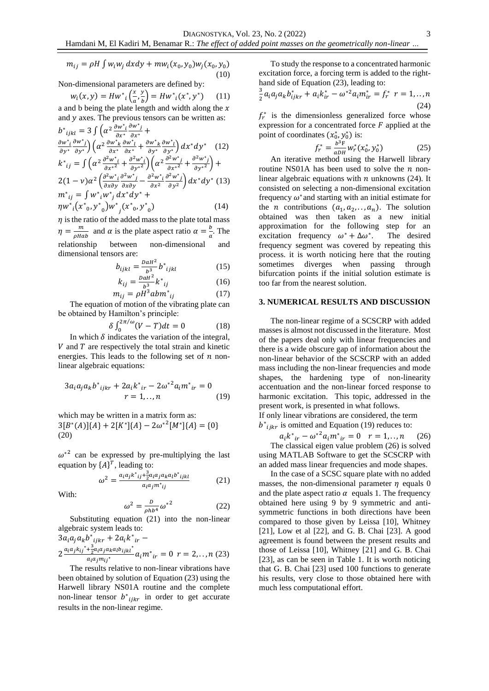$$
m_{ij} = \rho H \int w_i w_j \, dx dy + m w_i(x_0, y_0) w_j(x_0, y_0)
$$
\n(10)

Non-dimensional parameters are defined by:  
\n
$$
w_i(x, y) = Hw^*_{i}\left(\frac{x}{a}, \frac{y}{b}\right) = Hw^*_{i}(x^*, y^*)
$$
\n(11)

a and b being the plate length and width along the  $x$ and  $y$  axes. The previous tensors can be written as:

$$
b^*_{ijkl} = 3 \int \left( \alpha^2 \frac{\partial w^*_{ij} \partial w^*_{ij}}{\partial x^*} + \frac{\partial w^*_{ij} \partial w^*_{ij}}{\partial y^*} \right) \left( \alpha^2 \frac{\partial w^*_{ik} \partial w^*_{ij}}{\partial x^*} + \frac{\partial w^*_{ik} \partial w^*_{ij}}{\partial y^*} \right) dx^* dy^* \quad (12)
$$
  
\n
$$
k^*_{ij} = \int \left( \alpha^2 \frac{\partial^2 w^*_{ik}}{\partial x^*} + \frac{\partial^2 w^*_{ij}}{\partial y^*} \right) \left( \alpha^2 \frac{\partial^2 w^*_{ij}}{\partial x^*} + \frac{\partial^2 w^*_{ij}}{\partial y^*} \right) + \frac{\partial^2 (w^*_{ij} \partial^2 w^*_{ij})}{\partial x \partial y \partial y} \left( \frac{\partial^2 w^*_{ij}}{\partial x \partial x^2} + \frac{\partial^2 w^*_{ij}}{\partial y^2} \right) dx^* dy^* \quad (13)
$$
  
\n
$$
m^*_{ij} = \int w^*_{ij} w^*_{ij} dx^* dy^* + \eta w^*_{ij} (x^*_{ij} \partial^2 w^*_{ij} + \eta w^*_{ij} (x^*_{ij} \partial^2 w^*_{ij}) \qquad (14)
$$

 $\eta$  is the ratio of the added mass to the plate total mass  $\eta = \frac{m}{\sqrt{m}}$  $\frac{m}{\rho H a b}$  and  $\alpha$  is the plate aspect ratio  $\alpha = \frac{b}{a}$  $\frac{b}{a}$ . The relationship between non-dimensional dimensional tensors are:

$$
b_{ijkl} = \frac{DaH^2}{b^3} b^*_{ijkl} \tag{15}
$$

$$
k_{ij} = \frac{DaH^2}{b^3} k^*_{ij}
$$
 (16)

$$
m_{ij} = \rho \ddot{H}^3 abm^*_{ij} \tag{17}
$$

The equation of motion of the vibrating plate can be obtained by Hamilton's principle:

$$
\delta \int_0^{2\pi/\omega} (V - T) dt = 0 \tag{18}
$$

In which  $\delta$  indicates the variation of the integral,  $V$  and  $T$  are respectively the total strain and kinetic energies. This leads to the following set of  $n$  nonlinear algebraic equations:

$$
3a_{i}a_{j}a_{k}b^{*}{}_{ijkr} + 2a_{i}k^{*}{}_{ir} - 2\omega^{*2}a_{i}m^{*}{}_{ir} = 0
$$
  

$$
r = 1,...,n
$$
 (19)

which may be written in a matrix form as:  $3[B^*(A)]\{A\} + 2[K^*]\{A\} - 2\omega^{*2}[M^*]\{A\} = \{0\}$ (20)

 $\omega^*$ <sup>2</sup> can be expressed by pre-multiplying the last equation by  $\{A\}^T$ , leading to:

$$
\omega^2 = \frac{a_i a_j k^*_{ij} + \frac{3}{2} a_i a_j a_k a_l b^*_{ijkl}}{a_i a_j m^*_{ij}}
$$
(21)

With:

$$
\omega^2 = \frac{b}{\rho h b^4} {\omega^*}^2 \tag{22}
$$

Substituting equation (21) into the non-linear algebraic system leads to:  $3a_i a_j a_k b^*{}_{ijkr} + 2a_i k^*{}_{ir} -$ 

$$
2\frac{a_i a_j k_{ij}^* + \frac{3}{2} a_i a_j a_k a_l b_{ijkl}}{a_i a_j m_{ij}^*} a_i m^*_{ir} = 0 \ r = 2, ..., n \ (23)
$$

The results relative to non-linear vibrations have been obtained by solution of Equation (23) using the Harwell library NS01A routine and the complete non-linear tensor  $b^*_{ijkr}$  in order to get accurate results in the non-linear regime.

To study the response to a concentrated harmonic excitation force, a forcing term is added to the righthand side of Equation (23), leading to:

$$
\frac{3}{2}a_i a_j a_k b_{ijkr}^* + a_i k_{ir}^* - \omega^{*2} a_i m_{ir}^* = f_r^* \ r = 1, ..., n
$$
\n(24)

 $f_r^*$  is the dimensionless generalized force whose expression for a concentrated force  $F$  applied at the point of coordinates  $(x_0^*, y_0^*)$  is:

$$
f_r^* = \frac{b^3 F}{a D H} w_r^* (x_0^*, y_0^*)
$$
 (25)

An iterative method using the Harwell library routine NS01A has been used to solve the  $n$  nonlinear algebraic equations with  $n$  unknowns (24). It consisted on selecting a non-dimensional excitation frequency  $\omega^*$  and starting with an initial estimate for the *n* contributions  $(a_1, a_2, \ldots, a_n)$ . The solution obtained was then taken as a new initial approximation for the following step for an excitation frequency  $\omega^* + \Delta \omega^*$ . The desired frequency segment was covered by repeating this process. it is worth noticing here that the routing sometimes diverges when passing through bifurcation points if the initial solution estimate is too far from the nearest solution.

### **3. NUMERICAL RESULTS AND DISCUSSION**

The non-linear regime of a SCSCRP with added masses is almost not discussed in the literature. Most of the papers deal only with linear frequencies and there is a wide obscure gap of information about the non-linear behavior of the SCSCRP with an added mass including the non-linear frequencies and mode shapes, the hardening type of non-linearity accentuation and the non-linear forced response to harmonic excitation. This topic, addressed in the present work, is presented in what follows. If only linear vibrations are considered, the term  $b^*_{ijkr}$  is omitted and Equation (19) reduces to:

$$
a_i k^*{}_{ir} - \omega^{*2} a_i m^*{}_{ir} = 0 \quad r = 1,..,n \quad (26)
$$

The classical eigen value problem (26) is solved using MATLAB Software to get the SCSCRP with an added mass linear frequencies and mode shapes.

In the case of a SCSC square plate with no added masses, the non-dimensional parameter  $n$  equals 0 and the plate aspect ratio  $\alpha$  equals 1. The frequency obtained here using 9 by 9 symmetric and antisymmetric functions in both directions have been compared to those given by Leissa [10], Whitney [21], Low et al [22], and G. B. Chai [23]. A good agreement is found between the present results and those of Leissa [10], Whitney [21] and G. B. Chai [23], as can be seen in Table 1. It is worth noticing that G. B. Chai [23] used 100 functions to generate his results, very close to those obtained here with much less computational effort.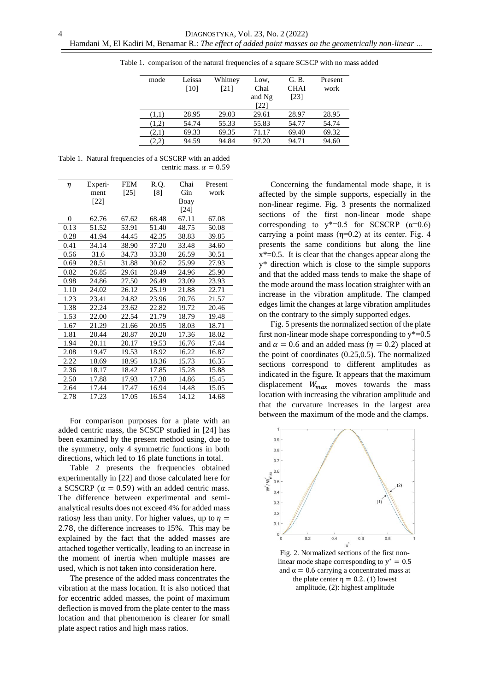| G. B.       | Present |
|-------------|---------|
|             |         |
| <b>CHAI</b> | work    |
| [23]        |         |
|             |         |
| 28.97       | 28.95   |
| 54.77       | 54.74   |
| 69.40       | 69.32   |
| 94.71       | 94.60   |
|             |         |

Table 1. comparison of the natural frequencies of a square SCSCP with no mass added

Table 1. Natural frequencies of a SCSCRP with an added centric mass.  $\alpha = 0.59$ 

4

| η        | Experi- | <b>FEM</b> | R.Q.  | Chai  | Present |
|----------|---------|------------|-------|-------|---------|
|          | ment    | $[25]$     | [8]   | Gin   | work    |
|          | [22]    |            |       | Boay  |         |
|          |         |            |       | [24]  |         |
| $\theta$ | 62.76   | 67.62      | 68.48 | 67.11 | 67.08   |
| 0.13     | 51.52   | 53.91      | 51.40 | 48.75 | 50.08   |
| 0.28     | 41.94   | 44.45      | 42.35 | 38.83 | 39.85   |
| 0.41     | 34.14   | 38.90      | 37.20 | 33.48 | 34.60   |
| 0.56     | 31.6    | 34.73      | 33.30 | 26.59 | 30.51   |
| 0.69     | 28.51   | 31.88      | 30.62 | 25.99 | 27.93   |
| 0.82     | 26.85   | 29.61      | 28.49 | 24.96 | 25.90   |
| 0.98     | 24.86   | 27.50      | 26.49 | 23.09 | 23.93   |
| 1.10     | 24.02   | 26.12      | 25.19 | 21.88 | 22.71   |
| 1.23     | 23.41   | 24.82      | 23.96 | 20.76 | 21.57   |
| 1.38     | 22.24   | 23.62      | 22.82 | 19.72 | 20.46   |
| 1.53     | 22.00   | 22.54      | 21.79 | 18.79 | 19.48   |
| 1.67     | 21.29   | 21.66      | 20.95 | 18.03 | 18.71   |
| 1.81     | 20.44   | 20.87      | 20.20 | 17.36 | 18.02   |
| 1.94     | 20.11   | 20.17      | 19.53 | 16.76 | 17.44   |
| 2.08     | 19.47   | 19.53      | 18.92 | 16.22 | 16.87   |
| 2.22     | 18.69   | 18.95      | 18.36 | 15.73 | 16.35   |
| 2.36     | 18.17   | 18.42      | 17.85 | 15.28 | 15.88   |
| 2.50     | 17.88   | 17.93      | 17.38 | 14.86 | 15.45   |
| 2.64     | 17.44   | 17.47      | 16.94 | 14.48 | 15.05   |
| 2.78     | 17.23   | 17.05      | 16.54 | 14.12 | 14.68   |

For comparison purposes for a plate with an added centric mass, the SCSCP studied in [24] has been examined by the present method using, due to the symmetry, only 4 symmetric functions in both directions, which led to 16 plate functions in total.

Table 2 presents the frequencies obtained experimentally in [22] and those calculated here for a SCSCRP ( $\alpha = 0.59$ ) with an added centric mass. The difference between experimental and semianalytical results does not exceed 4% for added mass ratios *n* less than unity. For higher values, up to  $\eta$  = 2.78, the difference increases to 15%. This may be explained by the fact that the added masses are attached together vertically, leading to an increase in the moment of inertia when multiple masses are used, which is not taken into consideration here.

The presence of the added mass concentrates the vibration at the mass location. It is also noticed that for eccentric added masses, the point of maximum deflection is moved from the plate center to the mass location and that phenomenon is clearer for small plate aspect ratios and high mass ratios.

Concerning the fundamental mode shape, it is affected by the simple supports, especially in the non-linear regime. Fig. 3 presents the normalized sections of the first non-linear mode shape corresponding to  $y^*=0.5$  for SCSCRP ( $\alpha=0.6$ ) carrying a point mass  $(\eta=0.2)$  at its center. Fig. 4 presents the same conditions but along the line  $x^*=0.5$ . It is clear that the changes appear along the y\* direction which is close to the simple supports and that the added mass tends to make the shape of the mode around the mass location straighter with an increase in the vibration amplitude. The clamped edges limit the changes at large vibration amplitudes on the contrary to the simply supported edges.

Fig. 5 presents the normalized section of the plate first non-linear mode shape corresponding to  $y^*$ =0.5 and  $\alpha = 0.6$  and an added mass ( $\eta = 0.2$ ) placed at the point of coordinates (0.25,0.5). The normalized sections correspond to different amplitudes as indicated in the figure. It appears that the maximum displacement  $W_{max}$  moves towards the mass location with increasing the vibration amplitude and that the curvature increases in the largest area between the maximum of the mode and the clamps.



Fig. 2. Normalized sections of the first nonlinear mode shape corresponding to  $y^* = 0.5$ and  $\alpha = 0.6$  carrying a concentrated mass at the plate center  $\eta = 0.2$ . (1) lowest amplitude, (2): highest amplitude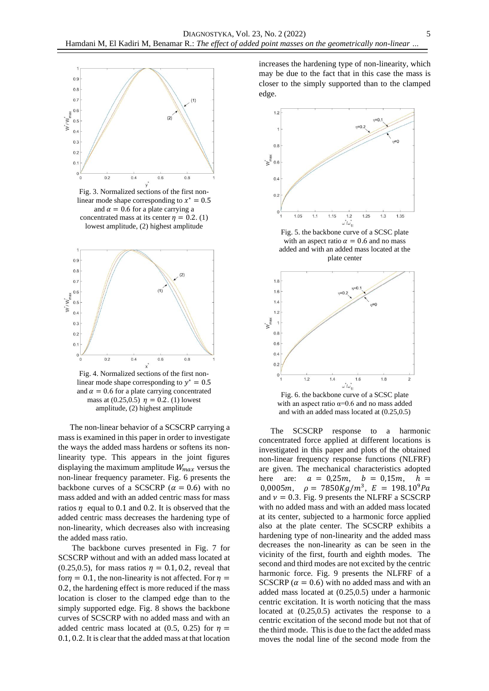

Fig. 3. Normalized sections of the first nonlinear mode shape corresponding to  $x^* = 0.5$ and  $\alpha = 0.6$  for a plate carrying a concentrated mass at its center  $\eta = 0.2$ . (1) lowest amplitude, (2) highest amplitude



Fig. 4. Normalized sections of the first nonlinear mode shape corresponding to  $y^* = 0.5$ and  $\alpha = 0.6$  for a plate carrying concentrated mass at  $(0.25, 0.5)$   $\eta = 0.2$ . (1) lowest amplitude, (2) highest amplitude

The non-linear behavior of a SCSCRP carrying a mass is examined in this paper in order to investigate the ways the added mass hardens or softens its nonlinearity type. This appears in the joint figures displaying the maximum amplitude  $W_{max}$  versus the non-linear frequency parameter. Fig. 6 presents the backbone curves of a SCSCRP ( $\alpha = 0.6$ ) with no mass added and with an added centric mass for mass ratios  $\eta$  equal to 0.1 and 0.2. It is observed that the added centric mass decreases the hardening type of non-linearity, which decreases also with increasing the added mass ratio.

The backbone curves presented in Fig. 7 for SCSCRP without and with an added mass located at (0.25,0.5), for mass ratios  $\eta = 0.1, 0.2$ , reveal that for  $\eta = 0.1$ , the non-linearity is not affected. For  $\eta =$ 0.2, the hardening effect is more reduced if the mass location is closer to the clamped edge than to the simply supported edge. Fig. 8 shows the backbone curves of SCSCRP with no added mass and with an added centric mass located at (0.5, 0.25) for  $\eta$  = 0.1, 0.2. It is clear that the added mass at that location

increases the hardening type of non-linearity, which may be due to the fact that in this case the mass is closer to the simply supported than to the clamped edge.



Fig. 5. the backbone curve of a SCSC plate with an aspect ratio  $\alpha = 0.6$  and no mass added and with an added mass located at the plate center



Fig. 6. the backbone curve of a SCSC plate with an aspect ratio  $\alpha$ =0.6 and no mass added and with an added mass located at (0.25,0.5)

The SCSCRP response to a harmonic concentrated force applied at different locations is investigated in this paper and plots of the obtained non-linear frequency response functions (NLFRF) are given. The mechanical characteristics adopted here are:  $a = 0.25m, b = 0.15m, h =$ 0,0005m,  $\rho = 7850Kg/m^3$ ,  $E = 198.10^9 Pa$ and  $v = 0.3$ . Fig. 9 presents the NLFRF a SCSCRP with no added mass and with an added mass located at its center, subjected to a harmonic force applied also at the plate center. The SCSCRP exhibits a hardening type of non-linearity and the added mass decreases the non-linearity as can be seen in the vicinity of the first, fourth and eighth modes. The second and third modes are not excited by the centric harmonic force. Fig. 9 presents the NLFRF of a SCSCRP ( $\alpha = 0.6$ ) with no added mass and with an added mass located at (0.25,0.5) under a harmonic centric excitation. It is worth noticing that the mass located at (0.25,0.5) activates the response to a centric excitation of the second mode but not that of the third mode. This is due to the fact the added mass moves the nodal line of the second mode from the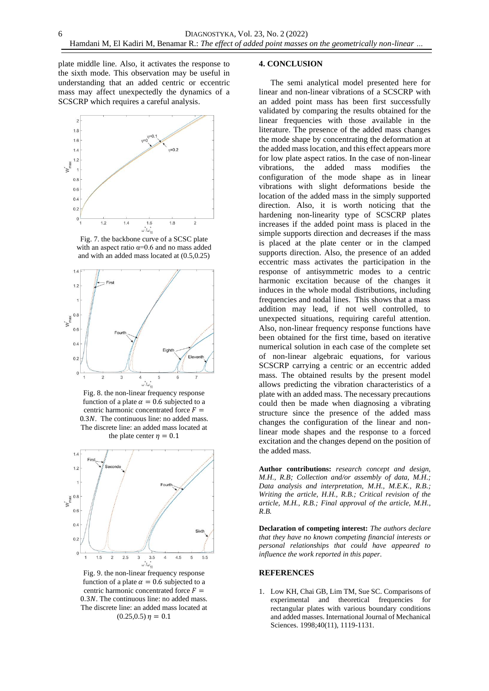plate middle line. Also, it activates the response to the sixth mode. This observation may be useful in understanding that an added centric or eccentric mass may affect unexpectedly the dynamics of a SCSCRP which requires a careful analysis.



Fig. 7. the backbone curve of a SCSC plate with an aspect ratio  $\alpha$ =0.6 and no mass added and with an added mass located at (0.5,0.25)



Fig. 8. the non-linear frequency response function of a plate  $\alpha = 0.6$  subjected to a centric harmonic concentrated force  $F =$  $0.3N$ . The continuous line: no added mass. The discrete line: an added mass located at the plate center  $\eta = 0.1$ 



Fig. 9. the non-linear frequency response function of a plate  $\alpha = 0.6$  subjected to a centric harmonic concentrated force  $F =$  $0.3N$ . The continuous line: no added mass. The discrete line: an added mass located at  $(0.25, 0.5)$   $\eta = 0.1$ 

### **4. CONCLUSION**

The semi analytical model presented here for linear and non-linear vibrations of a SCSCRP with an added point mass has been first successfully validated by comparing the results obtained for the linear frequencies with those available in the literature. The presence of the added mass changes the mode shape by concentrating the deformation at the added mass location, and this effect appears more for low plate aspect ratios. In the case of non-linear vibrations, the added mass modifies the configuration of the mode shape as in linear vibrations with slight deformations beside the location of the added mass in the simply supported direction. Also, it is worth noticing that the hardening non-linearity type of SCSCRP plates increases if the added point mass is placed in the simple supports direction and decreases if the mass is placed at the plate center or in the clamped supports direction. Also, the presence of an added eccentric mass activates the participation in the response of antisymmetric modes to a centric harmonic excitation because of the changes it induces in the whole modal distributions, including frequencies and nodal lines. This shows that a mass addition may lead, if not well controlled, to unexpected situations, requiring careful attention. Also, non-linear frequency response functions have been obtained for the first time, based on iterative numerical solution in each case of the complete set of non-linear algebraic equations, for various SCSCRP carrying a centric or an eccentric added mass. The obtained results by the present model allows predicting the vibration characteristics of a plate with an added mass. The necessary precautions could then be made when diagnosing a vibrating structure since the presence of the added mass changes the configuration of the linear and nonlinear mode shapes and the response to a forced excitation and the changes depend on the position of the added mass.

**Author contributions:** *research concept and design, M.H., R.B; Collection and/or assembly of data, M.H.; Data analysis and interpretation, M.H., M.E.K., R.B.; Writing the article, H.H., R.B.; Critical revision of the article, M.H., R.B.; Final approval of the article, M.H., R.B.*

**Declaration of competing interest:** *The authors declare that they have no known competing financial interests or personal relationships that could have appeared to influence the work reported in this paper.*

### **REFERENCES**

1. Low KH, Chai GB, Lim TM, Sue SC. Comparisons of experimental and theoretical frequencies for rectangular plates with various boundary conditions and added masses. International Journal of Mechanical Sciences. 1998;40(11), 1119-1131.